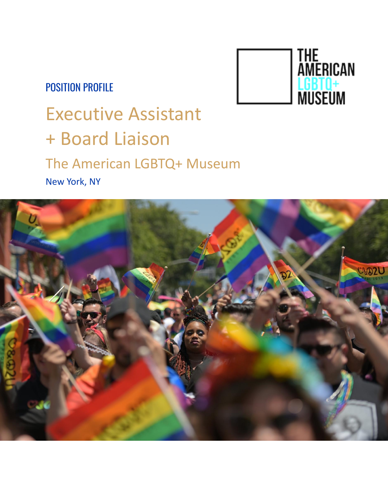### POSITION PROFILE



# Executive Assistant + Board Liaison The American LGBTQ+ Museum New York, NY

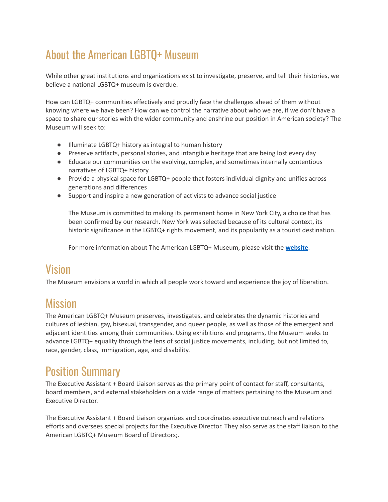# About the American LGBTQ+ Museum

While other great institutions and organizations exist to investigate, preserve, and tell their histories, we believe a national LGBTQ+ museum is overdue.

How can LGBTQ+ communities effectively and proudly face the challenges ahead of them without knowing where we have been? How can we control the narrative about who we are, if we don't have a space to share our stories with the wider community and enshrine our position in American society? The Museum will seek to:

- Illuminate LGBTQ+ history as integral to human history
- Preserve artifacts, personal stories, and intangible heritage that are being lost every day
- Educate our communities on the evolving, complex, and sometimes internally contentious narratives of LGBTQ+ history
- Provide a physical space for LGBTQ+ people that fosters individual dignity and unifies across generations and differences
- Support and inspire a new generation of activists to advance social justice

The Museum is committed to making its permanent home in New York City, a choice that has been confirmed by our research. New York was selected because of its cultural context, its historic significance in the LGBTQ+ rights movement, and its popularity as a tourist destination.

For more information about The American LGBTQ+ Museum, please visit the **[website](https://americanlgbtqmuseum.org/)**.

#### Vision

The Museum envisions a world in which all people work toward and experience the joy of liberation.

#### **Mission**

The American LGBTQ+ Museum preserves, investigates, and celebrates the dynamic histories and cultures of lesbian, gay, bisexual, transgender, and queer people, as well as those of the emergent and adjacent identities among their communities. Using exhibitions and programs, the Museum seeks to advance LGBTQ+ equality through the lens of social justice movements, including, but not limited to, race, gender, class, immigration, age, and disability.

### Position Summary

The Executive Assistant + Board Liaison serves as the primary point of contact for staff, consultants, board members, and external stakeholders on a wide range of matters pertaining to the Museum and Executive Director.

The Executive Assistant + Board Liaison organizes and coordinates executive outreach and relations efforts and oversees special projects for the Executive Director. They also serve as the staff liaison to the American LGBTQ+ Museum Board of Directors;.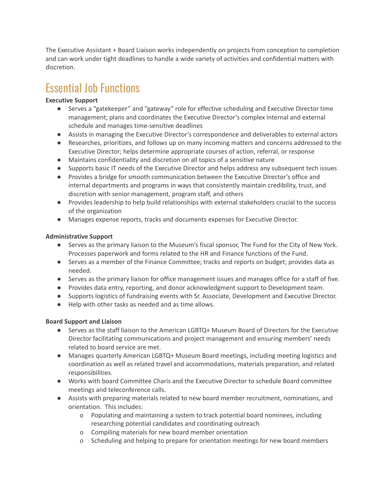The Executive Assistant + Board Liaison works independently on projects from conception to completion and can work under tight deadlines to handle a wide variety of activities and confidential matters with discretion.

### Essential Job Functions

#### **Executive Support**

- **●** Serves a "gatekeeper" and "gateway" role for effective scheduling and Executive Director time management; plans and coordinates the Executive Director's complex internal and external schedule and manages time-sensitive deadlines
- Assists in managing the Executive Director's correspondence and deliverables to external actors
- Researches, prioritizes, and follows up on many incoming matters and concerns addressed to the Executive Director; helps determine appropriate courses of action, referral, or response
- Maintains confidentiality and discretion on all topics of a sensitive nature
- Supports basic IT needs of the Executive Director and helps address any subsequent tech issues
- Provides a bridge for smooth communication between the Executive Director's office and internal departments and programs in ways that consistently maintain credibility, trust, and discretion with senior management, program staff, and others
- Provides leadership to help build relationships with external stakeholders crucial to the success of the organization
- Manages expense reports, tracks and documents expenses for Executive Director.

#### **Administrative Support**

- Serves as the primary liaison to the Museum's fiscal sponsor, The Fund for the City of New York. Processes paperwork and forms related to the HR and Finance functions of the Fund.
- Serves as a member of the Finance Committee; tracks and reports on budget; provides data as needed.
- Serves as the primary liaison for office management issues and manages office for a staff of five.
- Provides data entry, reporting, and donor acknowledgment support to Development team.
- Supports logistics of fundraising events with Sr. Associate, Development and Executive Director.
- Help with other tasks as needed and as time allows.

#### **Board Support and Liaison**

- Serves as the staff liaison to the American LGBTQ+ Museum Board of Directors for the Executive Director facilitating communications and project management and ensuring members' needs related to board service are met.
- Manages quarterly American LGBTQ+ Museum Board meetings, including meeting logistics and coordination as well as related travel and accommodations, materials preparation, and related responsibilities.
- Works with board Committee Charis and the Executive Director to schedule Board committee meetings and teleconference calls.
- Assists with preparing materials related to new board member recruitment, nominations, and orientation. This includes:
	- o Populating and maintaining a system to track potential board nominees, including researching potential candidates and coordinating outreach
	- o Compiling materials for new board member orientation
	- o Scheduling and helping to prepare for orientation meetings for new board members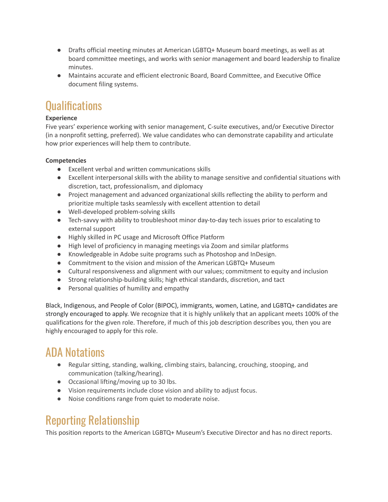- Drafts official meeting minutes at American LGBTQ+ Museum board meetings, as well as at board committee meetings, and works with senior management and board leadership to finalize minutes.
- Maintains accurate and efficient electronic Board, Board Committee, and Executive Office document filing systems.

### **Qualifications**

#### **Experience**

Five years' experience working with senior management, C-suite executives, and/or Executive Director (in a nonprofit setting, preferred). We value candidates who can demonstrate capability and articulate how prior experiences will help them to contribute.

#### **Competencies**

- Excellent verbal and written communications skills
- Excellent interpersonal skills with the ability to manage sensitive and confidential situations with discretion, tact, professionalism, and diplomacy
- Project management and advanced organizational skills reflecting the ability to perform and prioritize multiple tasks seamlessly with excellent attention to detail
- Well-developed problem-solving skills
- Tech-savvy with ability to troubleshoot minor day-to-day tech issues prior to escalating to external support
- Highly skilled in PC usage and Microsoft Office Platform
- High level of proficiency in managing meetings via Zoom and similar platforms
- Knowledgeable in Adobe suite programs such as Photoshop and InDesign.
- Commitment to the vision and mission of the American LGBTQ+ Museum
- Cultural responsiveness and alignment with our values; commitment to equity and inclusion
- Strong relationship-building skills; high ethical standards, discretion, and tact
- Personal qualities of humility and empathy

Black, Indigenous, and People of Color (BIPOC), immigrants, women, Latine, and LGBTQ+ candidates are strongly encouraged to apply. We recognize that it is highly unlikely that an applicant meets 100% of the qualifications for the given role. Therefore, if much of this job description describes you, then you are highly encouraged to apply for this role.

#### ADA Notations

- Regular sitting, standing, walking, climbing stairs, balancing, crouching, stooping, and communication (talking/hearing).
- Occasional lifting/moving up to 30 lbs.
- Vision requirements include close vision and ability to adjust focus.
- Noise conditions range from quiet to moderate noise.

#### Reporting Relationship

This position reports to the American LGBTQ+ Museum's Executive Director and has no direct reports.